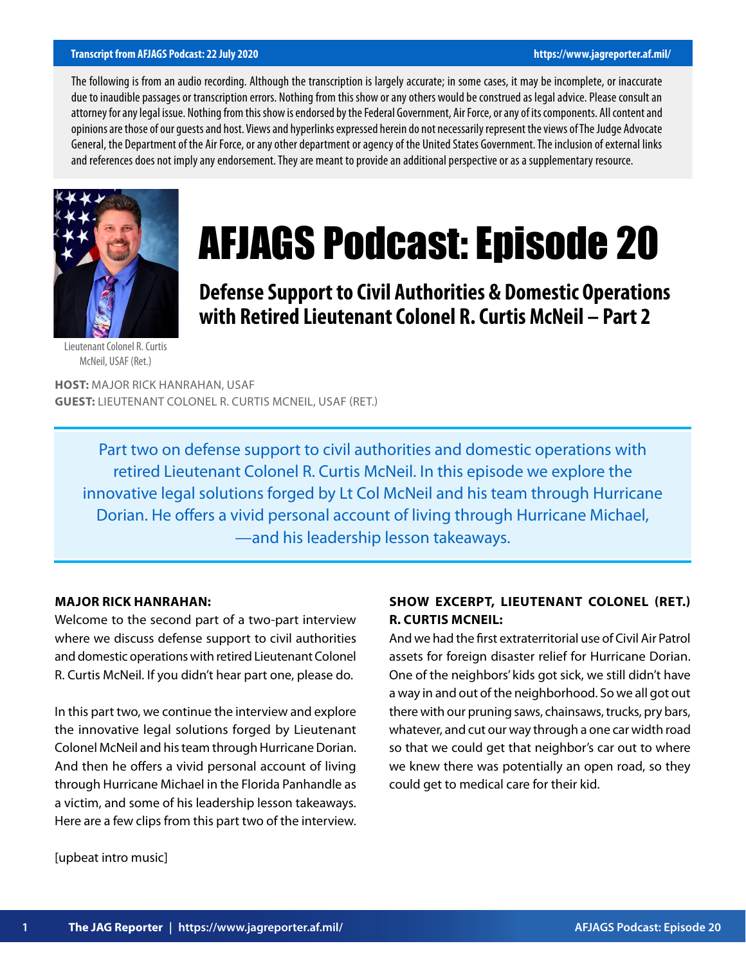#### **Transcript from AFJAGS Podcast: 22 July 2020 https://www.jagreporter.af.mil/**

The following is from an audio recording. Although the transcription is largely accurate; in some cases, it may be incomplete, or inaccurate due to inaudible passages or transcription errors. Nothing from this show or any others would be construed as legal advice. Please consult an attorney for any legal issue. Nothing from this show is endorsed by the Federal Government, Air Force, or any of its components. All content and opinions are those of our guests and host. Views and hyperlinks expressed herein do not necessarily represent the views of The Judge Advocate General, the Department of the Air Force, or any other department or agency of the United States Government. The inclusion of external links and references does not imply any endorsement. They are meant to provide an additional perspective or as a supplementary resource.



# AFJAGS Podcast: Episode 20

**Defense Support to Civil Authorities & Domestic Operations with Retired Lieutenant Colonel R. Curtis McNeil – Part 2**

Lieutenant Colonel R. Curtis McNeil, USAF (Ret.)

**HOST:** MAJOR RICK HANRAHAN, USAF **GUEST:** LIEUTENANT COLONEL R. CURTIS MCNEIL, USAF (RET.)

Part two on defense support to civil authorities and domestic operations with retired Lieutenant Colonel R. Curtis McNeil. In this episode we explore the innovative legal solutions forged by Lt Col McNeil and his team through Hurricane Dorian. He offers a vivid personal account of living through Hurricane Michael, —and his leadership lesson takeaways.

## **MAJOR RICK HANRAHAN:**

Welcome to the second part of a two-part interview where we discuss defense support to civil authorities and domestic operations with retired Lieutenant Colonel R. Curtis McNeil. If you didn't hear part one, please do.

In this part two, we continue the interview and explore the innovative legal solutions forged by Lieutenant Colonel McNeil and his team through Hurricane Dorian. And then he offers a vivid personal account of living through Hurricane Michael in the Florida Panhandle as a victim, and some of his leadership lesson takeaways. Here are a few clips from this part two of the interview.

# **SHOW EXCERPT, LIEUTENANT COLONEL (RET.) R. CURTIS MCNEIL:**

And we had the first extraterritorial use of Civil Air Patrol assets for foreign disaster relief for Hurricane Dorian. One of the neighbors' kids got sick, we still didn't have a way in and out of the neighborhood. So we all got out there with our pruning saws, chainsaws, trucks, pry bars, whatever, and cut our way through a one car width road so that we could get that neighbor's car out to where we knew there was potentially an open road, so they could get to medical care for their kid.

[upbeat intro music]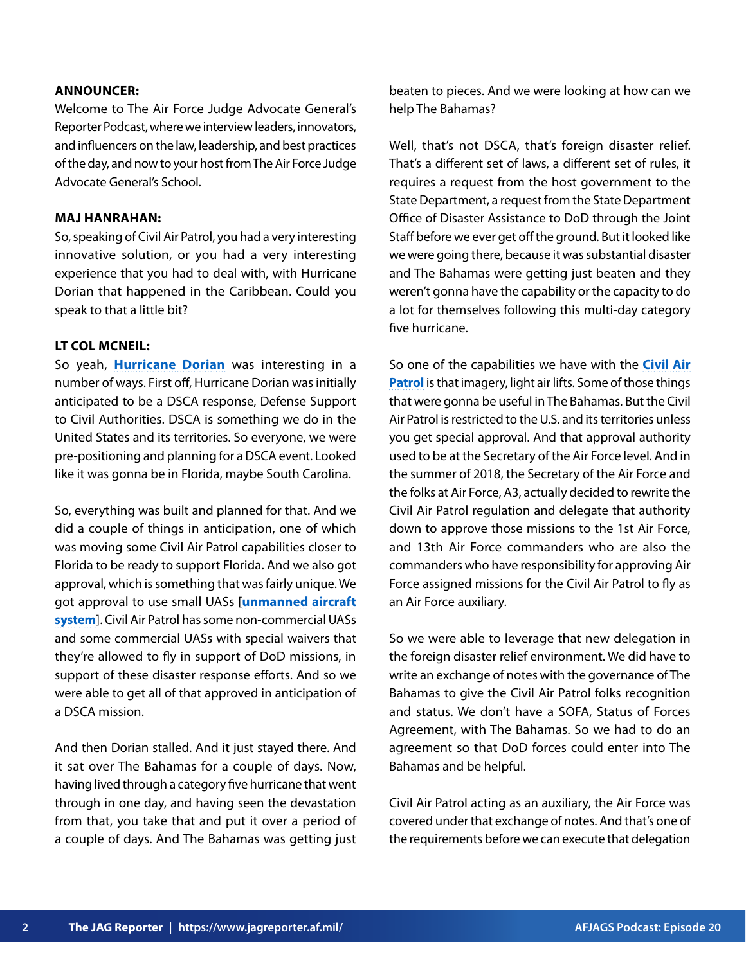#### **ANNOUNCER:**

Welcome to The Air Force Judge Advocate General's Reporter Podcast, where we interview leaders, innovators, and influencers on the law, leadership, and best practices of the day, and now to your host from The Air Force Judge Advocate General's School.

#### **MAJ HANRAHAN:**

So, speaking of Civil Air Patrol, you had a very interesting innovative solution, or you had a very interesting experience that you had to deal with, with Hurricane Dorian that happened in the Caribbean. Could you speak to that a little bit?

## **LT COL MCNEIL:**

So yeah, **[Hurricane Dorian](https://www.weather.gov/mhx/Dorian2019)** was interesting in a number of ways. First off, Hurricane Dorian was initially anticipated to be a DSCA response, Defense Support to Civil Authorities. DSCA is something we do in the United States and its territories. So everyone, we were pre-positioning and planning for a DSCA event. Looked like it was gonna be in Florida, maybe South Carolina.

So, everything was built and planned for that. And we did a couple of things in anticipation, one of which was moving some Civil Air Patrol capabilities closer to Florida to be ready to support Florida. And we also got approval, which is something that was fairly unique. We got approval to use small UASs [**[unmanned aircraft](https://www.faa.gov/uas/) [system](https://www.faa.gov/uas/)**]. Civil Air Patrol has some non-commercial UASs and some commercial UASs with special waivers that they're allowed to fly in support of DoD missions, in support of these disaster response efforts. And so we were able to get all of that approved in anticipation of a DSCA mission.

And then Dorian stalled. And it just stayed there. And it sat over The Bahamas for a couple of days. Now, having lived through a category five hurricane that went through in one day, and having seen the devastation from that, you take that and put it over a period of a couple of days. And The Bahamas was getting just

beaten to pieces. And we were looking at how can we help The Bahamas?

Well, that's not DSCA, that's foreign disaster relief. That's a different set of laws, a different set of rules, it requires a request from the host government to the State Department, a request from the State Department Office of Disaster Assistance to DoD through the Joint Staff before we ever get off the ground. But it looked like we were going there, because it was substantial disaster and The Bahamas were getting just beaten and they weren't gonna have the capability or the capacity to do a lot for themselves following this multi-day category five hurricane.

So one of the capabilities we have with the **[Civil Air](https://www.gocivilairpatrol.com/)  [Patrol](https://www.gocivilairpatrol.com/)** is that imagery, light air lifts. Some of those things that were gonna be useful in The Bahamas. But the Civil Air Patrol is restricted to the U.S. and its territories unless you get special approval. And that approval authority used to be at the Secretary of the Air Force level. And in the summer of 2018, the Secretary of the Air Force and the folks at Air Force, A3, actually decided to rewrite the Civil Air Patrol regulation and delegate that authority down to approve those missions to the 1st Air Force, and 13th Air Force commanders who are also the commanders who have responsibility for approving Air Force assigned missions for the Civil Air Patrol to fly as an Air Force auxiliary.

So we were able to leverage that new delegation in the foreign disaster relief environment. We did have to write an exchange of notes with the governance of The Bahamas to give the Civil Air Patrol folks recognition and status. We don't have a SOFA, Status of Forces Agreement, with The Bahamas. So we had to do an agreement so that DoD forces could enter into The Bahamas and be helpful.

Civil Air Patrol acting as an auxiliary, the Air Force was covered under that exchange of notes. And that's one of the requirements before we can execute that delegation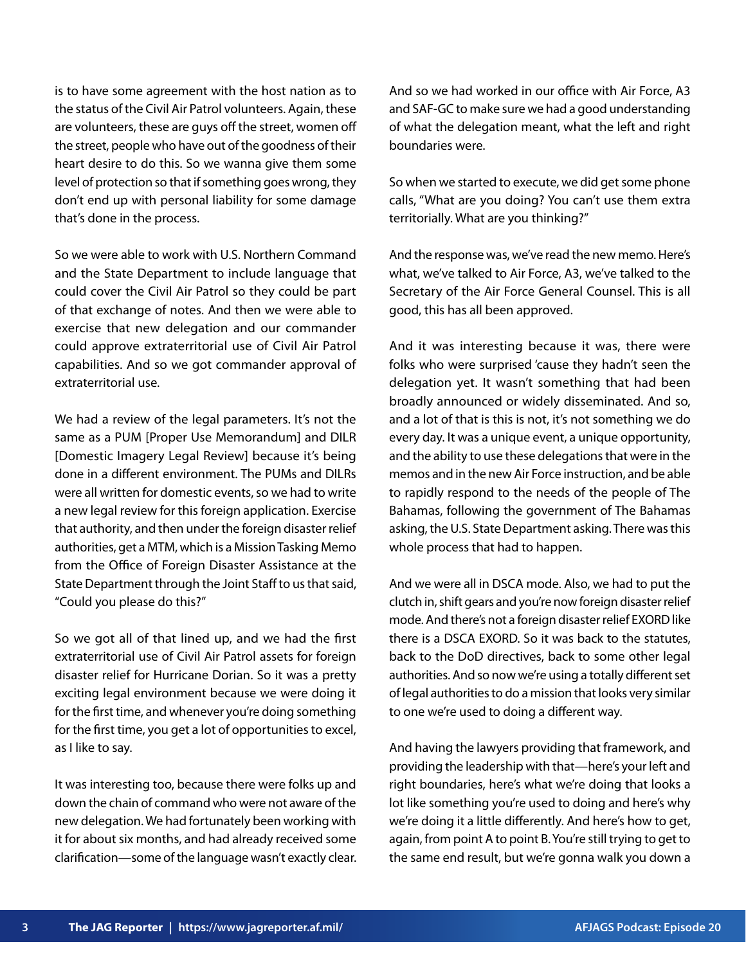is to have some agreement with the host nation as to the status of the Civil Air Patrol volunteers. Again, these are volunteers, these are guys off the street, women off the street, people who have out of the goodness of their heart desire to do this. So we wanna give them some level of protection so that if something goes wrong, they don't end up with personal liability for some damage that's done in the process.

So we were able to work with U.S. Northern Command and the State Department to include language that could cover the Civil Air Patrol so they could be part of that exchange of notes. And then we were able to exercise that new delegation and our commander could approve extraterritorial use of Civil Air Patrol capabilities. And so we got commander approval of extraterritorial use.

We had a review of the legal parameters. It's not the same as a PUM [Proper Use Memorandum] and DILR [Domestic Imagery Legal Review] because it's being done in a different environment. The PUMs and DILRs were all written for domestic events, so we had to write a new legal review for this foreign application. Exercise that authority, and then under the foreign disaster relief authorities, get a MTM, which is a Mission Tasking Memo from the Office of Foreign Disaster Assistance at the State Department through the Joint Staff to us that said, "Could you please do this?"

So we got all of that lined up, and we had the first extraterritorial use of Civil Air Patrol assets for foreign disaster relief for Hurricane Dorian. So it was a pretty exciting legal environment because we were doing it for the first time, and whenever you're doing something for the first time, you get a lot of opportunities to excel, as I like to say.

It was interesting too, because there were folks up and down the chain of command who were not aware of the new delegation. We had fortunately been working with it for about six months, and had already received some clarification—some of the language wasn't exactly clear.

And so we had worked in our office with Air Force, A3 and SAF-GC to make sure we had a good understanding of what the delegation meant, what the left and right boundaries were.

So when we started to execute, we did get some phone calls, "What are you doing? You can't use them extra territorially. What are you thinking?"

And the response was, we've read the new memo. Here's what, we've talked to Air Force, A3, we've talked to the Secretary of the Air Force General Counsel. This is all good, this has all been approved.

And it was interesting because it was, there were folks who were surprised 'cause they hadn't seen the delegation yet. It wasn't something that had been broadly announced or widely disseminated. And so, and a lot of that is this is not, it's not something we do every day. It was a unique event, a unique opportunity, and the ability to use these delegations that were in the memos and in the new Air Force instruction, and be able to rapidly respond to the needs of the people of The Bahamas, following the government of The Bahamas asking, the U.S. State Department asking. There was this whole process that had to happen.

And we were all in DSCA mode. Also, we had to put the clutch in, shift gears and you're now foreign disaster relief mode. And there's not a foreign disaster relief EXORD like there is a DSCA EXORD. So it was back to the statutes, back to the DoD directives, back to some other legal authorities. And so now we're using a totally different set of legal authorities to do a mission that looks very similar to one we're used to doing a different way.

And having the lawyers providing that framework, and providing the leadership with that—here's your left and right boundaries, here's what we're doing that looks a lot like something you're used to doing and here's why we're doing it a little differently. And here's how to get, again, from point A to point B. You're still trying to get to the same end result, but we're gonna walk you down a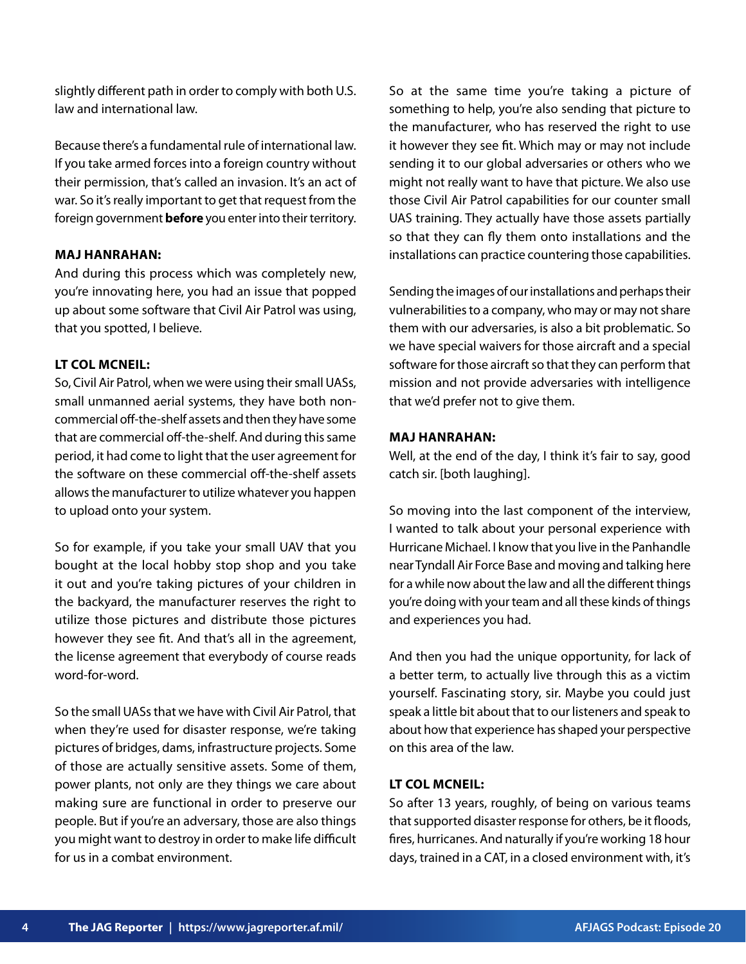slightly different path in order to comply with both U.S. law and international law.

Because there's a fundamental rule of international law. If you take armed forces into a foreign country without their permission, that's called an invasion. It's an act of war. So it's really important to get that request from the foreign government **before** you enter into their territory.

## **MAJ HANRAHAN:**

And during this process which was completely new, you're innovating here, you had an issue that popped up about some software that Civil Air Patrol was using, that you spotted, I believe.

## **LT COL MCNEIL:**

So, Civil Air Patrol, when we were using their small UASs, small unmanned aerial systems, they have both noncommercial off-the-shelf assets and then they have some that are commercial off-the-shelf. And during this same period, it had come to light that the user agreement for the software on these commercial off-the-shelf assets allows the manufacturer to utilize whatever you happen to upload onto your system.

So for example, if you take your small UAV that you bought at the local hobby stop shop and you take it out and you're taking pictures of your children in the backyard, the manufacturer reserves the right to utilize those pictures and distribute those pictures however they see fit. And that's all in the agreement, the license agreement that everybody of course reads word-for-word.

So the small UASs that we have with Civil Air Patrol, that when they're used for disaster response, we're taking pictures of bridges, dams, infrastructure projects. Some of those are actually sensitive assets. Some of them, power plants, not only are they things we care about making sure are functional in order to preserve our people. But if you're an adversary, those are also things you might want to destroy in order to make life difficult for us in a combat environment.

So at the same time you're taking a picture of something to help, you're also sending that picture to the manufacturer, who has reserved the right to use it however they see fit. Which may or may not include sending it to our global adversaries or others who we might not really want to have that picture. We also use those Civil Air Patrol capabilities for our counter small UAS training. They actually have those assets partially so that they can fly them onto installations and the installations can practice countering those capabilities.

Sending the images of our installations and perhaps their vulnerabilities to a company, who may or may not share them with our adversaries, is also a bit problematic. So we have special waivers for those aircraft and a special software for those aircraft so that they can perform that mission and not provide adversaries with intelligence that we'd prefer not to give them.

#### **MAJ HANRAHAN:**

Well, at the end of the day, I think it's fair to say, good catch sir. [both laughing].

So moving into the last component of the interview, I wanted to talk about your personal experience with Hurricane Michael. I know that you live in the Panhandle near Tyndall Air Force Base and moving and talking here for a while now about the law and all the different things you're doing with your team and all these kinds of things and experiences you had.

And then you had the unique opportunity, for lack of a better term, to actually live through this as a victim yourself. Fascinating story, sir. Maybe you could just speak a little bit about that to our listeners and speak to about how that experience has shaped your perspective on this area of the law.

# **LT COL MCNEIL:**

So after 13 years, roughly, of being on various teams that supported disaster response for others, be it floods, fires, hurricanes. And naturally if you're working 18 hour days, trained in a CAT, in a closed environment with, it's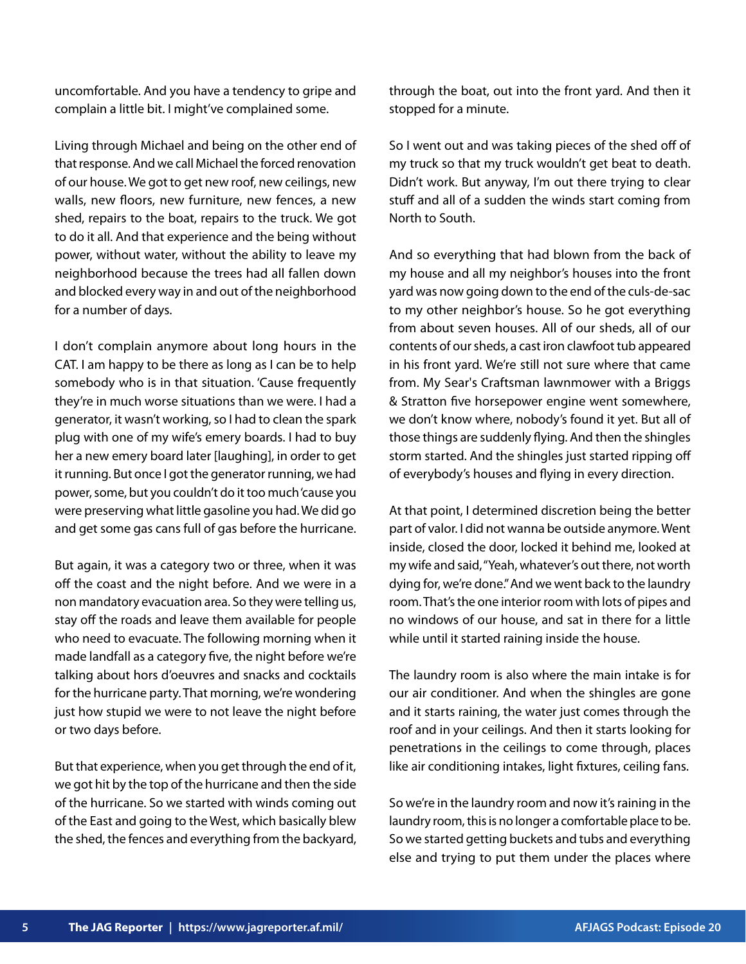uncomfortable. And you have a tendency to gripe and complain a little bit. I might've complained some.

Living through Michael and being on the other end of that response. And we call Michael the forced renovation of our house. We got to get new roof, new ceilings, new walls, new floors, new furniture, new fences, a new shed, repairs to the boat, repairs to the truck. We got to do it all. And that experience and the being without power, without water, without the ability to leave my neighborhood because the trees had all fallen down and blocked every way in and out of the neighborhood for a number of days.

I don't complain anymore about long hours in the CAT. I am happy to be there as long as I can be to help somebody who is in that situation. 'Cause frequently they're in much worse situations than we were. I had a generator, it wasn't working, so I had to clean the spark plug with one of my wife's emery boards. I had to buy her a new emery board later [laughing], in order to get it running. But once I got the generator running, we had power, some, but you couldn't do it too much 'cause you were preserving what little gasoline you had. We did go and get some gas cans full of gas before the hurricane.

But again, it was a category two or three, when it was off the coast and the night before. And we were in a non mandatory evacuation area. So they were telling us, stay off the roads and leave them available for people who need to evacuate. The following morning when it made landfall as a category five, the night before we're talking about hors d'oeuvres and snacks and cocktails for the hurricane party. That morning, we're wondering just how stupid we were to not leave the night before or two days before.

But that experience, when you get through the end of it, we got hit by the top of the hurricane and then the side of the hurricane. So we started with winds coming out of the East and going to the West, which basically blew the shed, the fences and everything from the backyard, through the boat, out into the front yard. And then it stopped for a minute.

So I went out and was taking pieces of the shed off of my truck so that my truck wouldn't get beat to death. Didn't work. But anyway, I'm out there trying to clear stuff and all of a sudden the winds start coming from North to South.

And so everything that had blown from the back of my house and all my neighbor's houses into the front yard was now going down to the end of the culs-de-sac to my other neighbor's house. So he got everything from about seven houses. All of our sheds, all of our contents of our sheds, a cast iron clawfoot tub appeared in his front yard. We're still not sure where that came from. My Sear's Craftsman lawnmower with a Briggs & Stratton five horsepower engine went somewhere, we don't know where, nobody's found it yet. But all of those things are suddenly flying. And then the shingles storm started. And the shingles just started ripping off of everybody's houses and flying in every direction.

At that point, I determined discretion being the better part of valor. I did not wanna be outside anymore. Went inside, closed the door, locked it behind me, looked at my wife and said, "Yeah, whatever's out there, not worth dying for, we're done." And we went back to the laundry room. That's the one interior room with lots of pipes and no windows of our house, and sat in there for a little while until it started raining inside the house.

The laundry room is also where the main intake is for our air conditioner. And when the shingles are gone and it starts raining, the water just comes through the roof and in your ceilings. And then it starts looking for penetrations in the ceilings to come through, places like air conditioning intakes, light fixtures, ceiling fans.

So we're in the laundry room and now it's raining in the laundry room, this is no longer a comfortable place to be. So we started getting buckets and tubs and everything else and trying to put them under the places where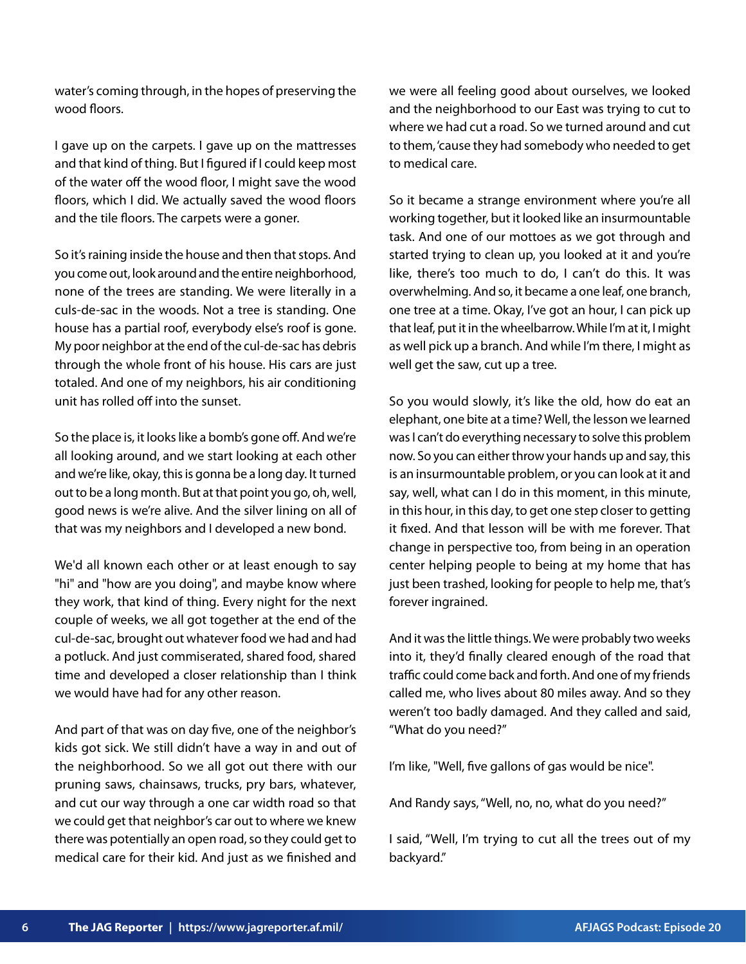water's coming through, in the hopes of preserving the wood floors.

I gave up on the carpets. I gave up on the mattresses and that kind of thing. But I figured if I could keep most of the water off the wood floor, I might save the wood floors, which I did. We actually saved the wood floors and the tile floors. The carpets were a goner.

So it's raining inside the house and then that stops. And you come out, look around and the entire neighborhood, none of the trees are standing. We were literally in a culs-de-sac in the woods. Not a tree is standing. One house has a partial roof, everybody else's roof is gone. My poor neighbor at the end of the cul-de-sac has debris through the whole front of his house. His cars are just totaled. And one of my neighbors, his air conditioning unit has rolled off into the sunset.

So the place is, it looks like a bomb's gone off. And we're all looking around, and we start looking at each other and we're like, okay, this is gonna be a long day. It turned out to be a long month. But at that point you go, oh, well, good news is we're alive. And the silver lining on all of that was my neighbors and I developed a new bond.

We'd all known each other or at least enough to say "hi" and "how are you doing", and maybe know where they work, that kind of thing. Every night for the next couple of weeks, we all got together at the end of the cul-de-sac, brought out whatever food we had and had a potluck. And just commiserated, shared food, shared time and developed a closer relationship than I think we would have had for any other reason.

And part of that was on day five, one of the neighbor's kids got sick. We still didn't have a way in and out of the neighborhood. So we all got out there with our pruning saws, chainsaws, trucks, pry bars, whatever, and cut our way through a one car width road so that we could get that neighbor's car out to where we knew there was potentially an open road, so they could get to medical care for their kid. And just as we finished and

we were all feeling good about ourselves, we looked and the neighborhood to our East was trying to cut to where we had cut a road. So we turned around and cut to them, 'cause they had somebody who needed to get to medical care.

So it became a strange environment where you're all working together, but it looked like an insurmountable task. And one of our mottoes as we got through and started trying to clean up, you looked at it and you're like, there's too much to do, I can't do this. It was overwhelming. And so, it became a one leaf, one branch, one tree at a time. Okay, I've got an hour, I can pick up that leaf, put it in the wheelbarrow. While I'm at it, I might as well pick up a branch. And while I'm there, I might as well get the saw, cut up a tree.

So you would slowly, it's like the old, how do eat an elephant, one bite at a time? Well, the lesson we learned was I can't do everything necessary to solve this problem now. So you can either throw your hands up and say, this is an insurmountable problem, or you can look at it and say, well, what can I do in this moment, in this minute, in this hour, in this day, to get one step closer to getting it fixed. And that lesson will be with me forever. That change in perspective too, from being in an operation center helping people to being at my home that has just been trashed, looking for people to help me, that's forever ingrained.

And it was the little things. We were probably two weeks into it, they'd finally cleared enough of the road that traffic could come back and forth. And one of my friends called me, who lives about 80 miles away. And so they weren't too badly damaged. And they called and said, "What do you need?"

I'm like, "Well, five gallons of gas would be nice".

And Randy says, "Well, no, no, what do you need?"

I said, "Well, I'm trying to cut all the trees out of my backyard."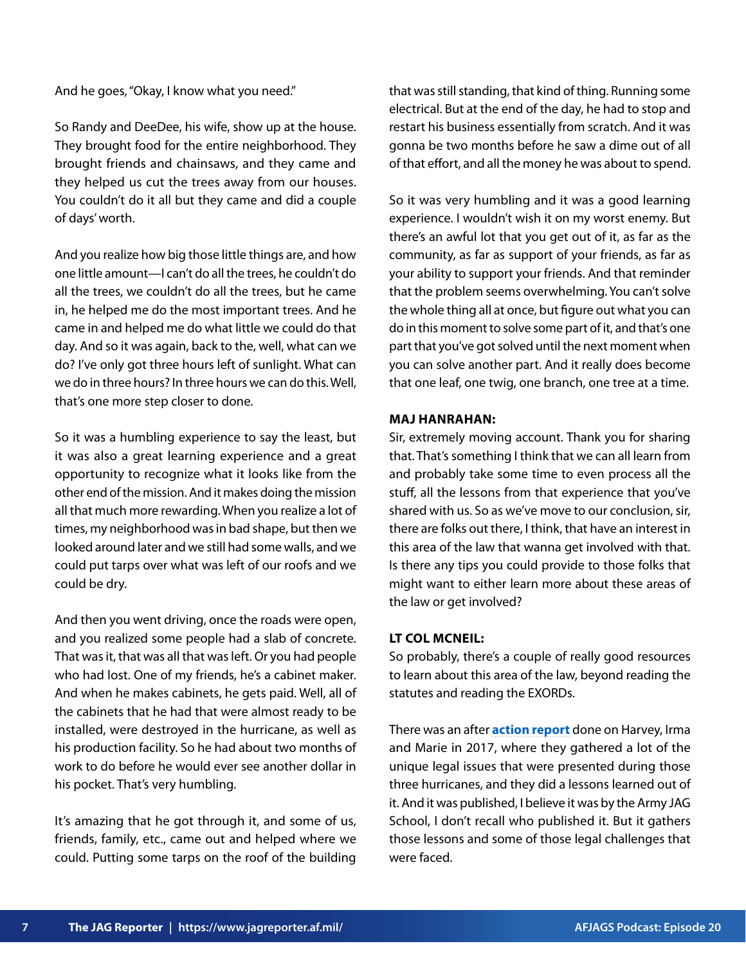And he goes, "Okay, I know what you need."

So Randy and DeeDee, his wife, show up at the house. They brought food for the entire neighborhood. They brought friends and chainsaws, and they came and they helped us cut the trees away from our houses. You couldn't do it all but they came and did a couple of days' worth.

And you realize how big those little things are, and how one little amount—I can't do all the trees, he couldn't do all the trees, we couldn't do all the trees, but he came in, he helped me do the most important trees. And he came in and helped me do what little we could do that day. And so it was again, back to the, well, what can we do? I've only got three hours left of sunlight. What can we do in three hours? In three hours we can do this. Well, that's one more step closer to done.

So it was a humbling experience to say the least, but it was also a great learning experience and a great opportunity to recognize what it looks like from the other end of the mission. And it makes doing the mission all that much more rewarding. When you realize a lot of times, my neighborhood was in bad shape, but then we looked around later and we still had some walls, and we could put tarps over what was left of our roofs and we could be dry.

And then you went driving, once the roads were open, and you realized some people had a slab of concrete. That was it, that was all that was left. Or you had people who had lost. One of my friends, he's a cabinet maker. And when he makes cabinets, he gets paid. Well, all of the cabinets that he had that were almost ready to be installed, were destroyed in the hurricane, as well as his production facility. So he had about two months of work to do before he would ever see another dollar in his pocket. That's very humbling.

It's amazing that he got through it, and some of us, friends, family, etc., came out and helped where we could. Putting some tarps on the roof of the building that was still standing, that kind of thing. Running some electrical. But at the end of the day, he had to stop and restart his business essentially from scratch. And it was gonna be two months before he saw a dime out of all of that effort, and all the money he was about to spend.

So it was very humbling and it was a good learning experience. I wouldn't wish it on my worst enemy. But there's an awful lot that you get out of it, as far as the community, as far as support of your friends, as far as your ability to support your friends. And that reminder that the problem seems overwhelming. You can't solve the whole thing all at once, but figure out what you can do in this moment to solve some part of it, and that's one part that you've got solved until the next moment when you can solve another part. And it really does become that one leaf, one twig, one branch, one tree at a time.

#### **MAJ HANRAHAN:**

Sir, extremely moving account. Thank you for sharing that. That's something I think that we can all learn from and probably take some time to even process all the stuff, all the lessons from that experience that you've shared with us. So as we've move to our conclusion, sir, there are folks out there, I think, that have an interest in this area of the law that wanna get involved with that. Is there any tips you could provide to those folks that might want to either learn more about these areas of the law or get involved?

### **LT COL MCNEIL:**

So probably, there's a couple of really good resources to learn about this area of the law, beyond reading the statutes and reading the EXORDs.

There was an after **[action report](https://www.loc.gov/item/2021692625/)** done on Harvey, Irma and Marie in 2017, where they gathered a lot of the unique legal issues that were presented during those three hurricanes, and they did a lessons learned out of it. And it was published, I believe it was by the Army JAG School, I don't recall who published it. But it gathers those lessons and some of those legal challenges that were faced.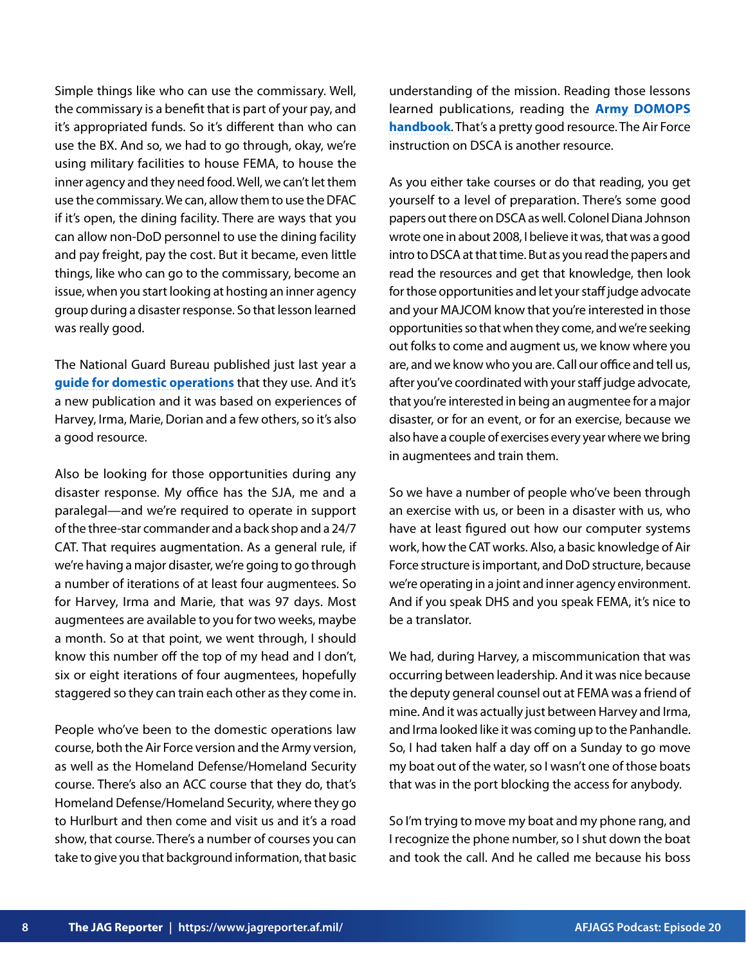Simple things like who can use the commissary. Well, the commissary is a benefit that is part of your pay, and it's appropriated funds. So it's different than who can use the BX. And so, we had to go through, okay, we're using military facilities to house FEMA, to house the inner agency and they need food. Well, we can't let them use the commissary. We can, allow them to use the DFAC if it's open, the dining facility. There are ways that you can allow non-DoD personnel to use the dining facility and pay freight, pay the cost. But it became, even little things, like who can go to the commissary, become an issue, when you start looking at hosting an inner agency group during a disaster response. So that lesson learned was really good.

The National Guard Bureau published just last year a **[guide for domestic operations](https://www.hsdl.org/?view&did=826560)** that they use. And it's a new publication and it was based on experiences of Harvey, Irma, Marie, Dorian and a few others, so it's also a good resource.

Also be looking for those opportunities during any disaster response. My office has the SJA, me and a paralegal—and we're required to operate in support of the three-star commander and a back shop and a 24/7 CAT. That requires augmentation. As a general rule, if we're having a major disaster, we're going to go through a number of iterations of at least four augmentees. So for Harvey, Irma and Marie, that was 97 days. Most augmentees are available to you for two weeks, maybe a month. So at that point, we went through, I should know this number off the top of my head and I don't, six or eight iterations of four augmentees, hopefully staggered so they can train each other as they come in.

People who've been to the domestic operations law course, both the Air Force version and the Army version, as well as the Homeland Defense/Homeland Security course. There's also an ACC course that they do, that's Homeland Defense/Homeland Security, where they go to Hurlburt and then come and visit us and it's a road show, that course. There's a number of courses you can take to give you that background information, that basic understanding of the mission. Reading those lessons learned publications, reading the **[Army DOMOPS](https://tjaglcs.army.mil/documents/35956/56919/2021+DOPLAW+Handbook+for+Judge+Advocates.pdf/9350efbc-b5c0-2294-952f-94fb1170111d?t=1624915611838) [handbook](https://tjaglcs.army.mil/documents/35956/56919/2021+DOPLAW+Handbook+for+Judge+Advocates.pdf/9350efbc-b5c0-2294-952f-94fb1170111d?t=1624915611838)**. That's a pretty good resource. The Air Force instruction on DSCA is another resource.

As you either take courses or do that reading, you get yourself to a level of preparation. There's some good papers out there on DSCA as well. Colonel Diana Johnson wrote one in about 2008, I believe it was, that was a good intro to DSCA at that time. But as you read the papers and read the resources and get that knowledge, then look for those opportunities and let your staff judge advocate and your MAJCOM know that you're interested in those opportunities so that when they come, and we're seeking out folks to come and augment us, we know where you are, and we know who you are. Call our office and tell us, after you've coordinated with your staff judge advocate, that you're interested in being an augmentee for a major disaster, or for an event, or for an exercise, because we also have a couple of exercises every year where we bring in augmentees and train them.

So we have a number of people who've been through an exercise with us, or been in a disaster with us, who have at least figured out how our computer systems work, how the CAT works. Also, a basic knowledge of Air Force structure is important, and DoD structure, because we're operating in a joint and inner agency environment. And if you speak DHS and you speak FEMA, it's nice to be a translator.

We had, during Harvey, a miscommunication that was occurring between leadership. And it was nice because the deputy general counsel out at FEMA was a friend of mine. And it was actually just between Harvey and Irma, and Irma looked like it was coming up to the Panhandle. So, I had taken half a day off on a Sunday to go move my boat out of the water, so I wasn't one of those boats that was in the port blocking the access for anybody.

So I'm trying to move my boat and my phone rang, and I recognize the phone number, so I shut down the boat and took the call. And he called me because his boss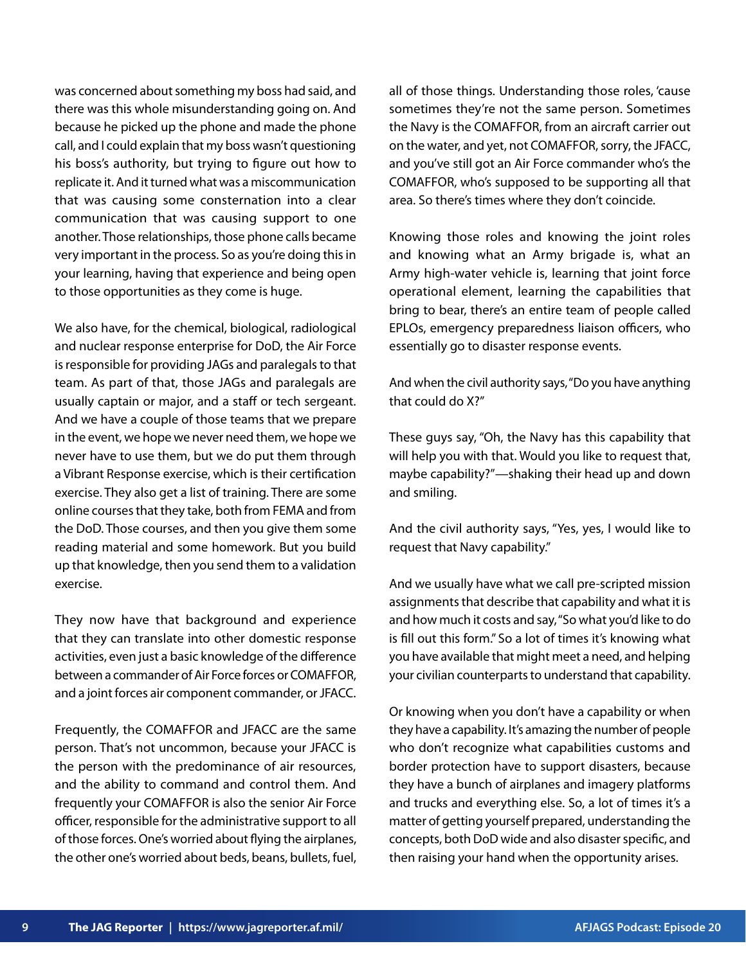was concerned about something my boss had said, and there was this whole misunderstanding going on. And because he picked up the phone and made the phone call, and I could explain that my boss wasn't questioning his boss's authority, but trying to figure out how to replicate it. And it turned what was a miscommunication that was causing some consternation into a clear communication that was causing support to one another. Those relationships, those phone calls became very important in the process. So as you're doing this in your learning, having that experience and being open to those opportunities as they come is huge.

We also have, for the chemical, biological, radiological and nuclear response enterprise for DoD, the Air Force is responsible for providing JAGs and paralegals to that team. As part of that, those JAGs and paralegals are usually captain or major, and a staff or tech sergeant. And we have a couple of those teams that we prepare in the event, we hope we never need them, we hope we never have to use them, but we do put them through a Vibrant Response exercise, which is their certification exercise. They also get a list of training. There are some online courses that they take, both from FEMA and from the DoD. Those courses, and then you give them some reading material and some homework. But you build up that knowledge, then you send them to a validation exercise.

They now have that background and experience that they can translate into other domestic response activities, even just a basic knowledge of the difference between a commander of Air Force forces or COMAFFOR, and a joint forces air component commander, or JFACC.

Frequently, the COMAFFOR and JFACC are the same person. That's not uncommon, because your JFACC is the person with the predominance of air resources, and the ability to command and control them. And frequently your COMAFFOR is also the senior Air Force officer, responsible for the administrative support to all of those forces. One's worried about flying the airplanes, the other one's worried about beds, beans, bullets, fuel, all of those things. Understanding those roles, 'cause sometimes they're not the same person. Sometimes the Navy is the COMAFFOR, from an aircraft carrier out on the water, and yet, not COMAFFOR, sorry, the JFACC, and you've still got an Air Force commander who's the COMAFFOR, who's supposed to be supporting all that area. So there's times where they don't coincide.

Knowing those roles and knowing the joint roles and knowing what an Army brigade is, what an Army high-water vehicle is, learning that joint force operational element, learning the capabilities that bring to bear, there's an entire team of people called EPLOs, emergency preparedness liaison officers, who essentially go to disaster response events.

And when the civil authority says, "Do you have anything that could do X?"

These guys say, "Oh, the Navy has this capability that will help you with that. Would you like to request that, maybe capability?"—shaking their head up and down and smiling.

And the civil authority says, "Yes, yes, I would like to request that Navy capability."

And we usually have what we call pre-scripted mission assignments that describe that capability and what it is and how much it costs and say, "So what you'd like to do is fill out this form." So a lot of times it's knowing what you have available that might meet a need, and helping your civilian counterparts to understand that capability.

Or knowing when you don't have a capability or when they have a capability. It's amazing the number of people who don't recognize what capabilities customs and border protection have to support disasters, because they have a bunch of airplanes and imagery platforms and trucks and everything else. So, a lot of times it's a matter of getting yourself prepared, understanding the concepts, both DoD wide and also disaster specific, and then raising your hand when the opportunity arises.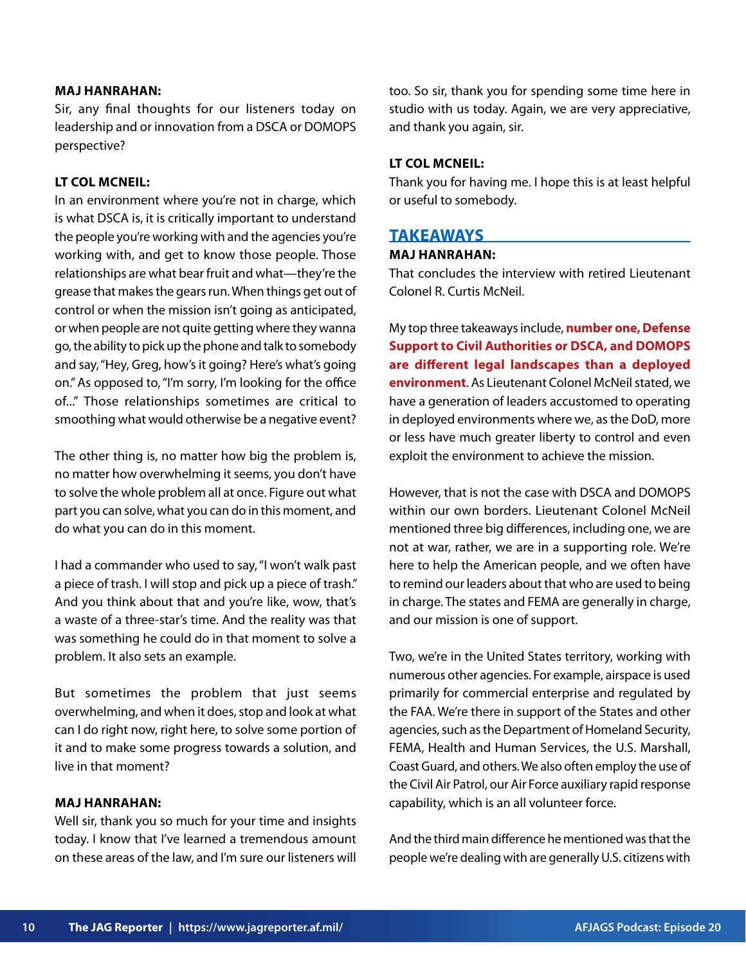#### **MAJ HANRAHAN:**

Sir, any final thoughts for our listeners today on leadership and or innovation from a DSCA or DOMOPS perspective?

## **LT COL MCNEIL:**

In an environment where you're not in charge, which is what DSCA is, it is critically important to understand the people you're working with and the agencies you're working with, and get to know those people. Those relationships are what bear fruit and what—they're the grease that makes the gears run. When things get out of control or when the mission isn't going as anticipated, or when people are not quite getting where they wanna go, the ability to pick up the phone and talk to somebody and say, "Hey, Greg, how's it going? Here's what's going on." As opposed to, "I'm sorry, I'm looking for the office of..." Those relationships sometimes are critical to smoothing what would otherwise be a negative event?

The other thing is, no matter how big the problem is, no matter how overwhelming it seems, you don't have to solve the whole problem all at once. Figure out what part you can solve, what you can do in this moment, and do what you can do in this moment.

I had a commander who used to say, "I won't walk past a piece of trash. I will stop and pick up a piece of trash." And you think about that and you're like, wow, that's a waste of a three-star's time. And the reality was that was something he could do in that moment to solve a problem. It also sets an example.

But sometimes the problem that just seems overwhelming, and when it does, stop and look at what can I do right now, right here, to solve some portion of it and to make some progress towards a solution, and live in that moment?

#### **MAJ HANRAHAN:**

Well sir, thank you so much for your time and insights today. I know that I've learned a tremendous amount on these areas of the law, and I'm sure our listeners will too. So sir, thank you for spending some time here in studio with us today. Again, we are very appreciative, and thank you again, sir.

#### **LT COL MCNEIL:**

Thank you for having me. I hope this is at least helpful or useful to somebody.

# **TAKEAWAYS**

#### **MAJ HANRAHAN:**

That concludes the interview with retired Lieutenant Colonel R. Curtis McNeil.

My top three takeaways include, **number one, Defense Support to Civil Authorities or DSCA, and DOMOPS are different legal landscapes than a deployed environment**. As Lieutenant Colonel McNeil stated, we have a generation of leaders accustomed to operating in deployed environments where we, as the DoD, more or less have much greater liberty to control and even exploit the environment to achieve the mission.

However, that is not the case with DSCA and DOMOPS within our own borders. Lieutenant Colonel McNeil mentioned three big differences, including one, we are not at war, rather, we are in a supporting role. We're here to help the American people, and we often have to remind our leaders about that who are used to being in charge. The states and FEMA are generally in charge, and our mission is one of support.

Two, we're in the United States territory, working with numerous other agencies. For example, airspace is used primarily for commercial enterprise and regulated by the FAA. We're there in support of the States and other agencies, such as the Department of Homeland Security, FEMA, Health and Human Services, the U.S. Marshall, Coast Guard, and others. We also often employ the use of the Civil Air Patrol, our Air Force auxiliary rapid response capability, which is an all volunteer force.

And the third main difference he mentioned was that the people we're dealing with are generally U.S. citizens with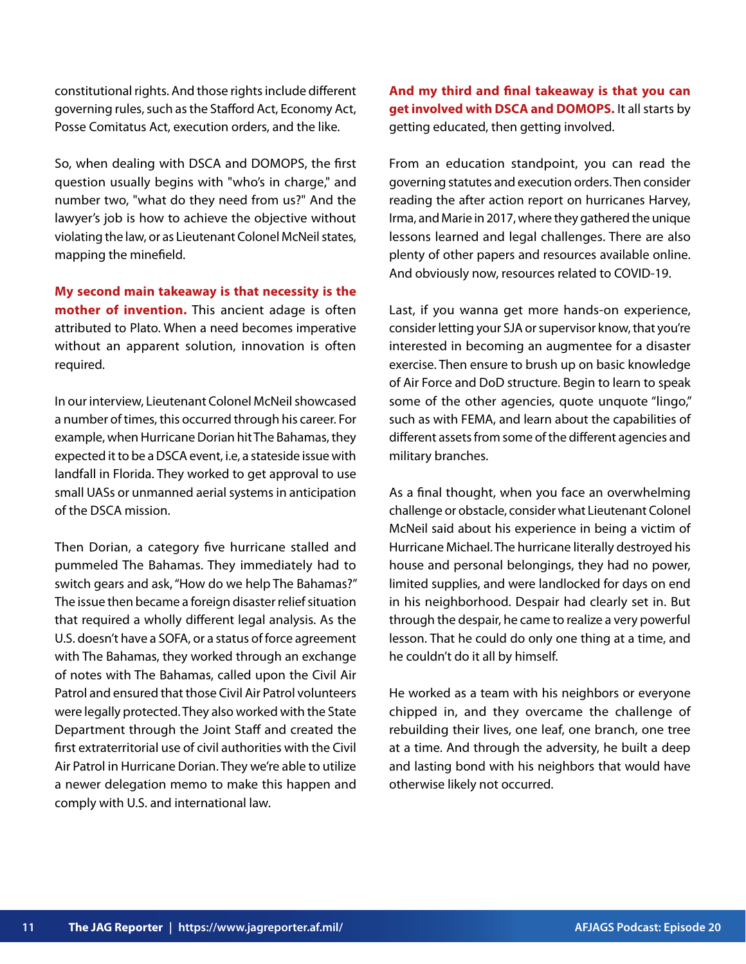constitutional rights. And those rights include different governing rules, such as the Stafford Act, Economy Act, Posse Comitatus Act, execution orders, and the like.

So, when dealing with DSCA and DOMOPS, the first question usually begins with "who's in charge," and number two, "what do they need from us?" And the lawyer's job is how to achieve the objective without violating the law, or as Lieutenant Colonel McNeil states, mapping the minefield.

**My second main takeaway is that necessity is the mother of invention.** This ancient adage is often attributed to Plato. When a need becomes imperative without an apparent solution, innovation is often required.

In our interview, Lieutenant Colonel McNeil showcased a number of times, this occurred through his career. For example, when Hurricane Dorian hit The Bahamas, they expected it to be a DSCA event, i.e, a stateside issue with landfall in Florida. They worked to get approval to use small UASs or unmanned aerial systems in anticipation of the DSCA mission.

Then Dorian, a category five hurricane stalled and pummeled The Bahamas. They immediately had to switch gears and ask, "How do we help The Bahamas?" The issue then became a foreign disaster relief situation that required a wholly different legal analysis. As the U.S. doesn't have a SOFA, or a status of force agreement with The Bahamas, they worked through an exchange of notes with The Bahamas, called upon the Civil Air Patrol and ensured that those Civil Air Patrol volunteers were legally protected. They also worked with the State Department through the Joint Staff and created the first extraterritorial use of civil authorities with the Civil Air Patrol in Hurricane Dorian. They we're able to utilize a newer delegation memo to make this happen and comply with U.S. and international law.

**And my third and final takeaway is that you can get involved with DSCA and DOMOPS.** It all starts by getting educated, then getting involved.

From an education standpoint, you can read the governing statutes and execution orders. Then consider reading the after action report on hurricanes Harvey, Irma, and Marie in 2017, where they gathered the unique lessons learned and legal challenges. There are also plenty of other papers and resources available online. And obviously now, resources related to COVID-19.

Last, if you wanna get more hands-on experience, consider letting your SJA or supervisor know, that you're interested in becoming an augmentee for a disaster exercise. Then ensure to brush up on basic knowledge of Air Force and DoD structure. Begin to learn to speak some of the other agencies, quote unquote "lingo," such as with FEMA, and learn about the capabilities of different assets from some of the different agencies and military branches.

As a final thought, when you face an overwhelming challenge or obstacle, consider what Lieutenant Colonel McNeil said about his experience in being a victim of Hurricane Michael. The hurricane literally destroyed his house and personal belongings, they had no power, limited supplies, and were landlocked for days on end in his neighborhood. Despair had clearly set in. But through the despair, he came to realize a very powerful lesson. That he could do only one thing at a time, and he couldn't do it all by himself.

He worked as a team with his neighbors or everyone chipped in, and they overcame the challenge of rebuilding their lives, one leaf, one branch, one tree at a time. And through the adversity, he built a deep and lasting bond with his neighbors that would have otherwise likely not occurred.